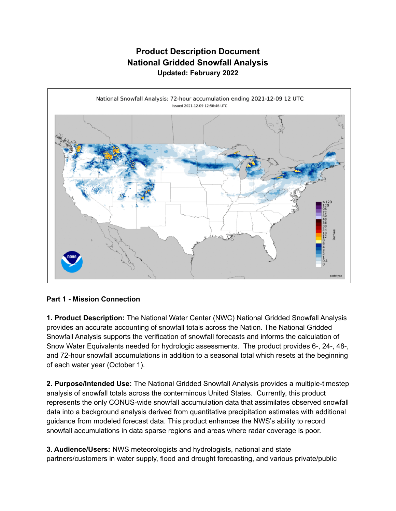## **Product Description Document National Gridded Snowfall Analysis Updated: February 2022**



## **Part 1 - Mission Connection**

**1. Product Description:** The National Water Center (NWC) National Gridded Snowfall Analysis provides an accurate accounting of snowfall totals across the Nation. The National Gridded Snowfall Analysis supports the verification of snowfall forecasts and informs the calculation of Snow Water Equivalents needed for hydrologic assessments. The product provides 6-, 24-, 48-, and 72-hour snowfall accumulations in addition to a seasonal total which resets at the beginning of each water year (October 1).

**2. Purpose/Intended Use:** The National Gridded Snowfall Analysis provides a multiple-timestep analysis of snowfall totals across the conterminous United States. Currently, this product represents the only CONUS-wide snowfall accumulation data that assimilates observed snowfall data into a background analysis derived from quantitative precipitation estimates with additional guidance from modeled forecast data. This product enhances the NWS's ability to record snowfall accumulations in data sparse regions and areas where radar coverage is poor.

**3. Audience/Users:** NWS meteorologists and hydrologists, national and state partners/customers in water supply, flood and drought forecasting, and various private/public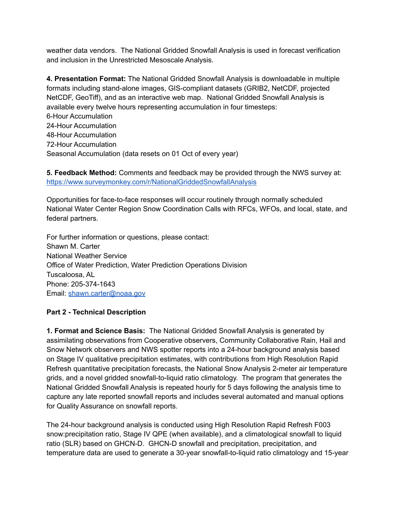weather data vendors. The National Gridded Snowfall Analysis is used in forecast verification and inclusion in the Unrestricted Mesoscale Analysis.

**4. Presentation Format:** The National Gridded Snowfall Analysis is downloadable in multiple formats including stand-alone images, GIS-compliant datasets (GRIB2, NetCDF, projected NetCDF, GeoTiff), and as an interactive web map. National Gridded Snowfall Analysis is available every twelve hours representing accumulation in four timesteps: 6-Hour Accumulation 24-Hour Accumulation 48-Hour Accumulation 72-Hour Accumulation Seasonal Accumulation (data resets on 01 Oct of every year)

**5. Feedback Method:** Comments and feedback may be provided through the NWS survey at: <https://www.surveymonkey.com/r/NationalGriddedSnowfallAnalysis>

Opportunities for face-to-face responses will occur routinely through normally scheduled National Water Center Region Snow Coordination Calls with RFCs, WFOs, and local, state, and federal partners.

For further information or questions, please contact: Shawn M. Carter National Weather Service Office of Water Prediction, Water Prediction Operations Division Tuscaloosa, AL Phone: 205-374-1643 Email: [shawn.carter@noaa.gov](mailto:shawn.carter@noaa.gov)

## **Part 2 - Technical Description**

**1. Format and Science Basis:** The National Gridded Snowfall Analysis is generated by assimilating observations from Cooperative observers, Community Collaborative Rain, Hail and Snow Network observers and NWS spotter reports into a 24-hour background analysis based on Stage IV qualitative precipitation estimates, with contributions from High Resolution Rapid Refresh quantitative precipitation forecasts, the National Snow Analysis 2-meter air temperature grids, and a novel gridded snowfall-to-liquid ratio climatology. The program that generates the National Gridded Snowfall Analysis is repeated hourly for 5 days following the analysis time to capture any late reported snowfall reports and includes several automated and manual options for Quality Assurance on snowfall reports.

The 24-hour background analysis is conducted using High Resolution Rapid Refresh F003 snow:precipitation ratio, Stage IV QPE (when available), and a climatological snowfall to liquid ratio (SLR) based on GHCN-D. GHCN-D snowfall and precipitation, precipitation, and temperature data are used to generate a 30-year snowfall-to-liquid ratio climatology and 15-year